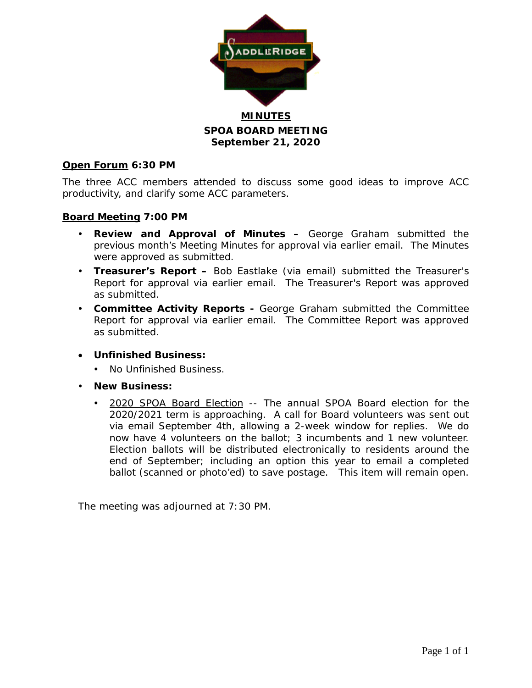

# **SPOA BOARD MEETING September 21, 2020**

## **Open Forum 6:30 PM**

The three ACC members attended to discuss some good ideas to improve ACC productivity, and clarify some ACC parameters.

## **Board Meeting 7:00 PM**

- **Review and Approval of Minutes –** George Graham submitted the previous month's Meeting Minutes for approval via earlier email. The Minutes were approved as submitted.
- **Treasurer's Report –** Bob Eastlake (via email) submitted the Treasurer's Report for approval via earlier email. The Treasurer's Report was approved as submitted.
- **Committee Activity Reports -** George Graham submitted the Committee Report for approval via earlier email. The Committee Report was approved as submitted.
- **Unfinished Business:**
	- No Unfinished Business.
- **New Business:**
	- 2020 SPOA Board Election -- The annual SPOA Board election for the 2020/2021 term is approaching. A call for Board volunteers was sent out via email September 4th, allowing a 2-week window for replies. We do now have 4 volunteers on the ballot; 3 incumbents and 1 new volunteer. Election ballots will be distributed electronically to residents around the end of September; including an option this year to email a completed ballot (scanned or photo'ed) to save postage. This item will remain open.

The meeting was adjourned at 7:30 PM.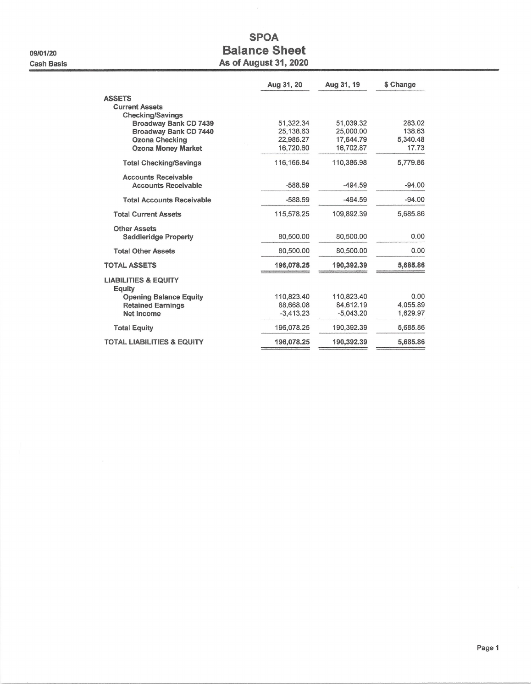09/01/20 **Cash Basis** 

# **SPOA Balance Sheet As of August 31, 2020**

|                                                                   | Aug 31, 20             | Aug 31, 19             | \$ Change         |
|-------------------------------------------------------------------|------------------------|------------------------|-------------------|
| <b>ASSETS</b><br><b>Current Assets</b><br><b>Checking/Savings</b> |                        |                        |                   |
| <b>Broadway Bank CD 7439</b><br>Broadway Bank CD 7440             | 51,322.34<br>25,138.63 | 51.039.32<br>25,000.00 | 283.02<br>138.63  |
| <b>Ozona Checking</b><br><b>Ozona Money Market</b>                | 22,985.27<br>16,720.60 | 17,644.79<br>16,702.87 | 5,340.48<br>17.73 |
| <b>Total Checking/Savings</b>                                     | 116, 166, 84           | 110,386.98             | 5,779.86          |
| <b>Accounts Receivable</b><br><b>Accounts Receivable</b>          | $-588.59$              | $-494.59$              | $-94.00$          |
| <b>Total Accounts Receivable</b>                                  | $-588.59$              | $-494.59$              | $-94.00$          |
| <b>Total Current Assets</b>                                       | 115,578.25             | 109,892.39             | 5.685.86          |
| <b>Other Assets</b><br><b>Saddleridge Property</b>                | 80,500.00              | 80,500.00              | 0.00              |
| <b>Total Other Assets</b>                                         | 80,500.00              | 80,500.00              | 0.00              |
| <b>TOTAL ASSETS</b>                                               | 196,078.25             | 190,392.39             | 5,685.86          |
| <b>LIABILITIES &amp; EQUITY</b><br><b>Equity</b>                  |                        |                        |                   |
| <b>Opening Balance Equity</b>                                     | 110,823.40             | 110,823.40             | 0.00              |
| <b>Retained Earnings</b>                                          | 88,668.08              | 84,612.19              | 4.055.89          |
| <b>Net Income</b>                                                 | $-3.413.23$            | $-5,043.20$            | 1,629.97          |
| <b>Total Equity</b>                                               | 196,078.25             | 190,392.39             | 5,685.86          |
| <b>TOTAL LIABILITIES &amp; EQUITY</b>                             | 196,078.25             | 190,392.39             | 5,685.86          |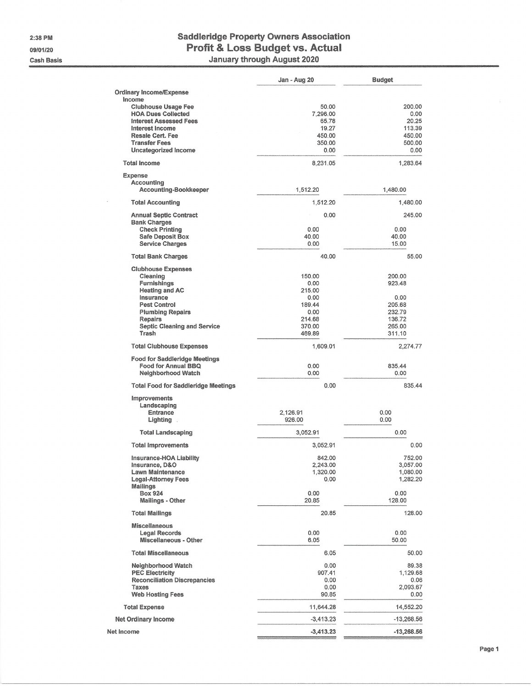2:38 PM 09/01/20 **Cash Basis** 

 $\bar{\nu}$ 

# Saddleridge Property Owners Association<br>Profit & Loss Budget vs. Actual<br>January through August 2020

|                                                                    | Jan - Aug 20       | <b>Budget</b>      |
|--------------------------------------------------------------------|--------------------|--------------------|
| <b>Ordinary Income/Expense</b>                                     |                    |                    |
| Income                                                             |                    |                    |
| <b>Clubhouse Usage Fee</b><br><b>HOA Dues Collected</b>            | 50.00<br>7,296.00  | 200.00<br>0.00     |
| <b>Interest Assessed Fees</b>                                      | 65.78              | 20.25              |
| Interest Income                                                    | 19.27              | 113.39             |
| <b>Resale Cert. Fee</b>                                            | 450.00             | 450.00             |
| <b>Transfer Fees</b><br>Uncategorized Income                       | 350.00<br>0.00     | 500.00<br>0.00     |
| <b>Total Income</b>                                                | 8,231.05           | 1,283.64           |
|                                                                    |                    |                    |
| Expense<br><b>Accounting</b>                                       |                    |                    |
| Accounting-Bookkeeper                                              | 1,512.20           | 1,480.00           |
| <b>Total Accounting</b>                                            | 1,512.20           | 1,480.00           |
| <b>Annual Septic Contract</b><br><b>Bank Charges</b>               | 0.00               | 245.00             |
| <b>Check Printing</b>                                              | 0.00               | 0.00               |
| <b>Safe Deposit Box</b>                                            | 40.00<br>0.00      | 40.00<br>15.00     |
| <b>Service Charges</b>                                             |                    |                    |
| <b>Total Bank Charges</b>                                          | 40.00              | 55.00              |
| <b>Clubhouse Expenses</b><br>Cleaning                              | 150.00             | 200.00             |
| Furnishings                                                        | 0.00               | 923.48             |
| <b>Heating and AC</b>                                              | 215.00             |                    |
| Insurance<br><b>Pest Control</b>                                   | 0.00<br>189.44     | 0.00<br>205.68     |
| <b>Plumbing Repairs</b>                                            | 0.00               | 232.79             |
| <b>Repairs</b>                                                     | 214.68             | 136.72             |
| <b>Septic Cleaning and Service</b>                                 | 370.00             | 265.00             |
| Trash                                                              | 469.89             | 311,10             |
| <b>Total Clubhouse Expenses</b>                                    | 1,609.01           | 2,274.77           |
| <b>Food for Saddleridge Meetings</b><br><b>Food for Annual BBQ</b> | 0.00               | 835.44             |
| <b>Neighborhood Watch</b>                                          | 0.00               | 0.00               |
| <b>Total Food for Saddleridge Meetings</b>                         | 0.00               | 835.44             |
| Improvements                                                       |                    |                    |
| Landscaping                                                        |                    |                    |
| <b>Entrance</b><br>Lighting.                                       | 2,126.91<br>926.00 | 0.00<br>0.00       |
|                                                                    |                    |                    |
| <b>Total Landscaping</b>                                           | 3.052.91           | 0.00               |
| <b>Total Improvements</b>                                          | 3,052.91           | 0.00               |
| Insurance-HOA Liability<br>Insurance, D&O                          | 842.00<br>2,243.00 | 752.00<br>3,057.00 |
| <b>Lawn Maintenance</b>                                            | 1,320.00           | 1,080.00           |
| <b>Legal-Attorney Fees</b>                                         | 0.00               | 1,282.20           |
| <b>Mailings</b><br><b>Box 924</b>                                  | 0.00               | 0.00               |
| <b>Mailings - Other</b>                                            | 20.85              | 128.00             |
| <b>Total Mailings</b>                                              | 20.85              | 128.00             |
| <b>Miscellaneous</b>                                               |                    |                    |
| <b>Legal Records</b>                                               | 0.00               | 0.00               |
| <b>Miscellaneous - Other</b>                                       | 6.05               | 50.00              |
| <b>Total Miscellaneous</b>                                         | 6.05               | 50.00              |
| <b>Neighborhood Watch</b>                                          | 0.00               | 89.38              |
| <b>PEC Electricity</b><br><b>Reconciliation Discrepancies</b>      | 907.41<br>0.00     | 1,129.68<br>0.06   |
| <b>Taxes</b>                                                       | 0.00               | 2,093.67           |
| <b>Web Hosting Fees</b>                                            | 90,85              | 0.00               |
| <b>Total Expense</b>                                               | 11,644.28          | 14,552.20          |
| <b>Net Ordinary Income</b>                                         | $-3,413.23$        | $-13,268.56$       |
| Net Income                                                         | $-3,413.23$        | $-13,268.56$       |